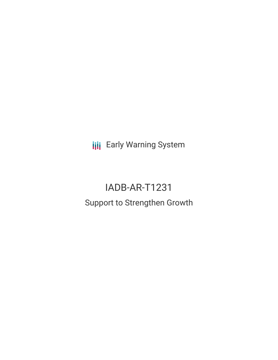**III** Early Warning System

# IADB-AR-T1231 Support to Strengthen Growth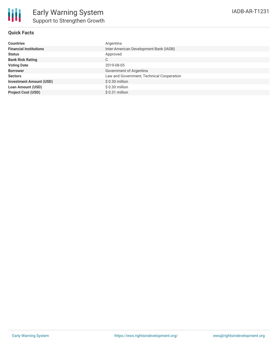## **Quick Facts**

| <b>Countries</b>               | Argentina                                 |
|--------------------------------|-------------------------------------------|
| <b>Financial Institutions</b>  | Inter-American Development Bank (IADB)    |
| <b>Status</b>                  | Approved                                  |
| <b>Bank Risk Rating</b>        | C                                         |
| <b>Voting Date</b>             | 2019-08-05                                |
| <b>Borrower</b>                | Government of Argentina                   |
| <b>Sectors</b>                 | Law and Government, Technical Cooperation |
| <b>Investment Amount (USD)</b> | $$0.30$ million                           |
| <b>Loan Amount (USD)</b>       | $$0.30$ million                           |
| <b>Project Cost (USD)</b>      | $$0.31$ million                           |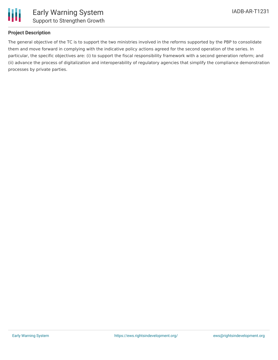

# **Project Description**

The general objective of the TC is to support the two ministries involved in the reforms supported by the PBP to consolidate them and move forward in complying with the indicative policy actions agreed for the second operation of the series. In particular, the specific objectives are: (i) to support the fiscal responsibility framework with a second generation reform; and (ii) advance the process of digitalization and interoperability of regulatory agencies that simplify the compliance demonstration processes by private parties.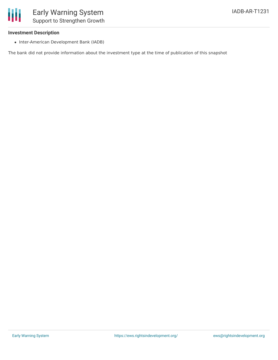# **Investment Description**

• Inter-American Development Bank (IADB)

The bank did not provide information about the investment type at the time of publication of this snapshot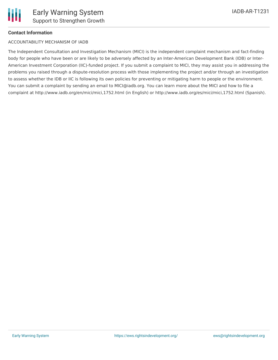# **Contact Information**

#### ACCOUNTABILITY MECHANISM OF IADB

The Independent Consultation and Investigation Mechanism (MICI) is the independent complaint mechanism and fact-finding body for people who have been or are likely to be adversely affected by an Inter-American Development Bank (IDB) or Inter-American Investment Corporation (IIC)-funded project. If you submit a complaint to MICI, they may assist you in addressing the problems you raised through a dispute-resolution process with those implementing the project and/or through an investigation to assess whether the IDB or IIC is following its own policies for preventing or mitigating harm to people or the environment. You can submit a complaint by sending an email to MICI@iadb.org. You can learn more about the MICI and how to file a complaint at http://www.iadb.org/en/mici/mici,1752.html (in English) or http://www.iadb.org/es/mici/mici,1752.html (Spanish).